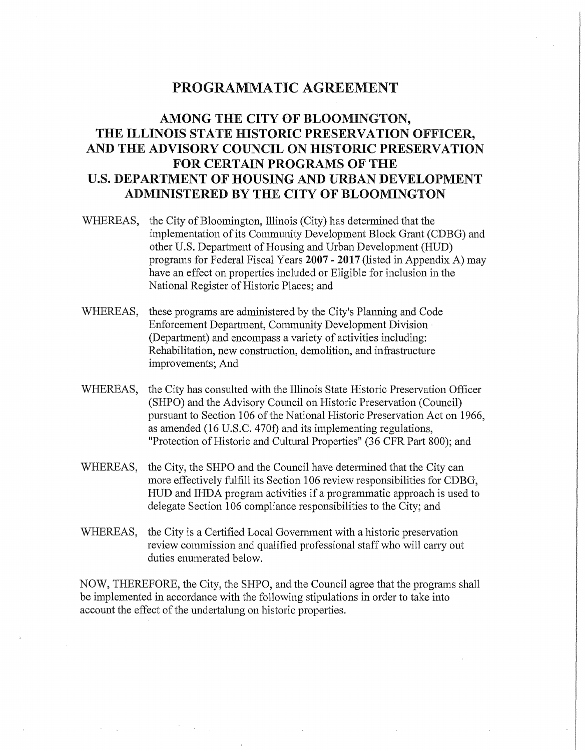# PROGRAMMATIC AGREEMENT

# **AMONG THE CITY OF BLOOMINGTON, THE ILLINOIS STATE HISTORIC PRESERVATION OFFICER, AND THE ADVISORY COUNCIL ON HISTORIC PRESERVATION FOR CERTAIN PROGRAMS OF THE U.S. DEPARTMENT OF HOUSING AND URBAN DEVELOPMENT ADMINISTERED BY THE CITY OF BLOOMINGTON**

- WHEREAS, the City of Bloomington, Illinois (City) has determined that the implementation of its Community Development Block Grant (CDBG) and other U.S. Department of Housing and Urban Development (HUD) programs for Federal Fiscal Years **2007** - **2017** (listed in Appendix A) may have an effect on properties included or Eligible for inclusion in the National Register of Historic Places; and
- WHEREAS, these programs are administered by the City's Planning and Code Enforcement Department, Community Development Division (Department) and encompass a variety of activities including: Rehabilitation, new construction, demolition, and infrastructure improvements; And
- WHEREAS, the City has consulted with the Illinois State Historic Preservation Officer (SHPO) and the Advisory Council on Historic Preservation (Council) pursuant to Section 106 of the National Historic Preservation Act on 1966, as amended (16 U.S.C. 470f) and its implementing regulations, "Protection of Historic and Cultural Properties" (36 CFR Part 800); and
- WHEREAS, the City, the SHPO and the Council have determined that the City can more effectively fulfill its Section 106 review responsibilities for CDBG, HUD and IHDA program activities if a programmatic approach is used to delegate Section 106 compliance responsibilities to the City; and
- WHEREAS, the City is a Certified Local Government with a historic preservation review commission and qualified professional staff who will carry out duties enumerated below.

NOW, THEREFORE, the City, the SHPO, and the Council agree that the programs shall be implemented in accordance with the following stipulations in order to take into account the effect of the undertalung on historic properties.

> $\sim 10^{-1}$  $\sim 10^{-1}$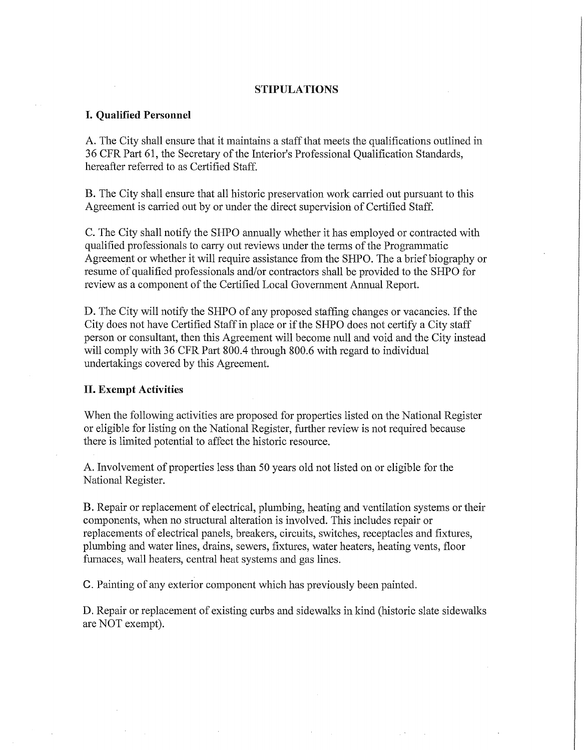### **STIPULATIONS**

## I. **Qualified Personnel**

A. The City shall ensure that it maintains a staff that meets the qualifications outlined in 36 CFR Part 61, the Secretary of the Interior's Professional Qualification Standards, hereafter referred to as Certified Staff.

B. The City shall ensure that all historic preservation work carried out pursuant to this Agreement is carried out by or under the direct supervision of Certified Staff.

C. The City shall notify the SHPO ammally whether it has employed or contracted with qualified professionals to carry out reviews under the terms of the Programmatic Agreement or whether it will require assistance from the SHPO. The a brief biography or resume of qualified professionals and/or contractors shall be provided to the SHPO for review as a component of the Certified Local Government Annual Report.

D. The City will notify the SHPO of any proposed staffmg changes or vacancies. If the City does not have Certified Staff in place or if the SHPO does not certify a City staff person or consultant, then this Agreement will become null and void and the City instead will comply with 36 CFR Part 800.4 through 800.6 with regard to individual undertakings covered by this Agreement.

#### **II. Exempt Activities**

When the following activities are proposed for properties listed on the National Register or eligible for listing on the National Register, further review is not required because there is limited potential to affect the historic resource.

A. Involvement of properties less than 50 years old not listed on or eligible for the National Register.

B. Repair or replacement of electrical, plumbing, heating and ventilation systems or their components, when no structural alteration is involved. This includes repair or replacements of electrical panels, breakers, circuits, switches, receptacles and fixtures, plumbing and water lines, drains, sewers, fixtures, water heaters, heating vents, floor furnaces, wall heaters, central heat systems and gas lines.

C. Painting of any exterior component which has previously been painted.

D. Repair or replacement of existing curbs and sidewalks in kind (historic slate sidewalks are NOT exempt).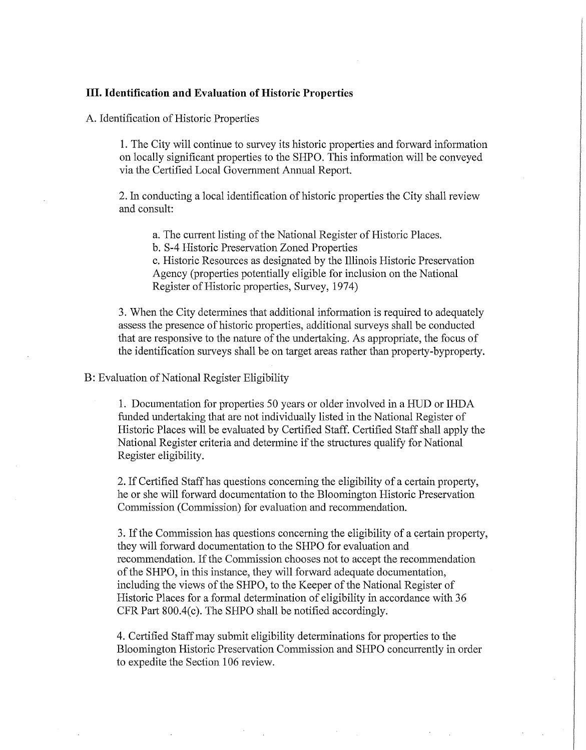### III. **Identification and Evaluation of Historic Properties**

A. Identification of Historic Properties

1. The City will continue to survey its historic properties and forward information on locally significant properties to the SHPO. This infornmtion will be conveyed via the Certified Local Government Annual Report.

2. In conducting a local identification of historic properties the City shall review and consult:

a. The current listing of the National Register of Historic Places.

b. S-4 Historic Preservation Zoned Properties

c. Historic Resources as designated by the Illinois Historic Preservation Agency (properties potentially eligible for inclusion on the National Register of Historic properties, Survey, 1974)

3. When the City determines that additional information is required to adequately assess the presence of historic properties, additional surveys shall be conducted that are responsive to the nature of the undertaking. As appropriate, the focus of the identification surveys shall be on target areas rather than property-byproperty.

# B: Evaluation of National Register Eligibility

1. Documentation for properties 50 years or older involved in a HUD or IHDA funded undertaking that are not individually listed in the National Register of Historic Places will be evaluated by Certified Staff. Certified Staff shall apply the National Register criteria and detennine if the structures qualify for National Register eligibility.

2. If Certified Staff has questions concerning the eligibility of a certain property, he or she will forward documentation to the Bloomington Historic Preservation Commission (Commission) for evaluation and recommendation.

3. If the Commission has questions concerning the eligibility of a certain property, they will forward documentation to the SHPO for evaluation and recommendation. If the Commission chooses not to accept the recommendation of the SHPO, in this instance, they will forward adequate documentation, including the views of the SHPO, to the Keeper of the National Register of Historic Places for a formal determination of eligibility in accordance with 36 CFR Part 800.4(c). The SHPO shall be notified accordingly.

4. Certified Staff may submit eligibility determinations for properties to the Bloomington Historic Preservation Commission and SHPO concurrently in order to expedite the Section 106 review.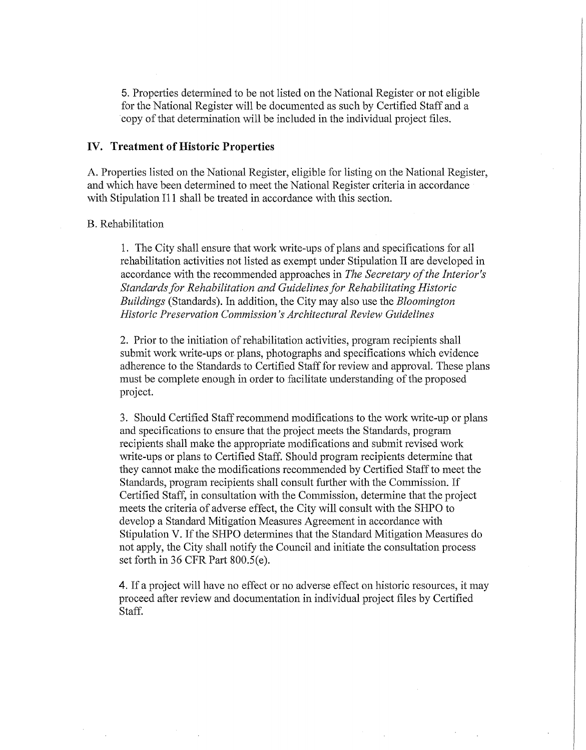5. Properties detennined to be not listed on the National Register or not eligible for the National Register will be documented as such by Certified Staff and a copy of that determination will be included in the individual project files.

#### **IV. Treatment of Historic Properties**

A. Properties listed on the National Register, eligible for listing on the National Register, and which have been determined to meet the National Register criteria in accordance with Stipulation I11 shall be treated in accordance with this section.

#### B. Rehabilitation

1. The City shall ensure that work write-ups of plans and specifications for all rehabilitation activities not listed as exempt under Stipulation II are developed in accordance with the recommended approaches in *The Secretary of the Interior's Standards for Rehabilitation and Guidelines for Rehabilitating Historic Buildings* (Standards). In addition, the City may also use the *Bloomington Historic Preservation Commission's Architectural Review Guidelines* 

2. Prior to the initiation of rehabilitation activities, program recipients shall submit work write-ups or plans, photographs and specifications which evidence adherence to the Standards to Certified Staff for review and approval. These plans must be complete enough in order to facilitate understanding of the proposed project.

3. Should Certified Staff recommend modifications to the work write-up or plans and specifications to ensure that the project meets the Standards, program recipients shall make the appropriate modifications and submit revised work write-ups or plans to Certified Staff. Should program recipients determine that they cannot make the modifications recommended by Certified Staff to meet the Standards, program recipients shall consult further with the Commission. If Certified Staff, in consultation with the Commission, determine that the project meets the criteria of adverse effect, the City will consult with the SHPO to develop a Standard Mitigation Measures Agreement in accordance with Stipulation V. If the SHPO determines that the Standard Mitigation Measures do not apply, the City shall notify the Council and initiate the consultation process set forth in 36 CFR Part  $800.5(e)$ .

**4.** If a project will have no effect or no adverse effect on historic resources, it may proceed after review and documentation in individual project files by Certified Staff.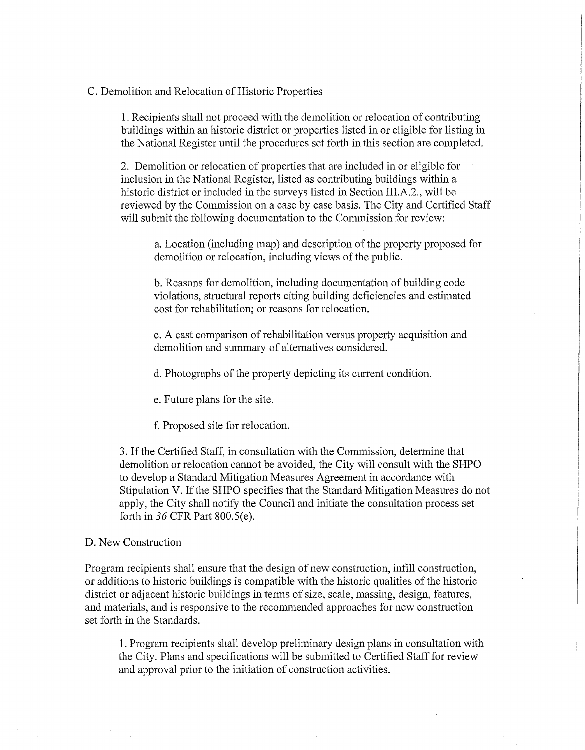# C. Demolition and Relocation of Historic Properties

1. Recipients shall not proceed with the demolition or relocation of contributing buildings within an historic district or properties listed in or eligible for listing in the National Register until the procedures set forth in this section are completed.

2. Demolition or relocation of properties that are included in or eligible for inclusion in the National Register, listed as contributing buildings within a historic district or included in the surveys listed in Section III.A.2., will be reviewed by the Commission on a case by case basis. The City and Certified Staff will submit the following documentation to the Commission for review:

a. Location (including map) and description of the property proposed for demolition or relocation, including views of the public.

b. Reasons for demolition, including documentation of building code violations, structural reports citing building deficiencies and estimated cost for rehabilitation; or reasons for relocation.

c. A cast comparison of rehabilitation versus property acquisition and demolition and summary of alternatives considered.

d. Photographs of the property depicting its current condition.

e. Future plans for the site.

f. Proposed site for relocation.

3. If the Certified Staff, in consultation with the Conunission, determine that demolition or relocation cannot be avoided, the City will consult with the SHPO to develop a Standard Mitigation Measures Agreement in accordance with Stipulation V. If the SHPO specifies that the Standard Mitigation Measures do not apply, the City shall notify the Council and initiate the consultation process set forth in 36 CFR Part 800.5(e).

# D. New Construction

Program recipients shall ensure that the design of new construction, infill construction, or additions to historic buildings is compatible with the historic qualities of the historic district or adjacent historic buildings in terms of size, scale, massing, design, features, and materials, and is responsive to the recommended approaches for new construction set forth in the Standards.

1. Program recipients shall develop preliminary design plans in consultation with the City. Plans and specifications will be submitted to Certified Staff for review and approval prior to the initiation of construction activities.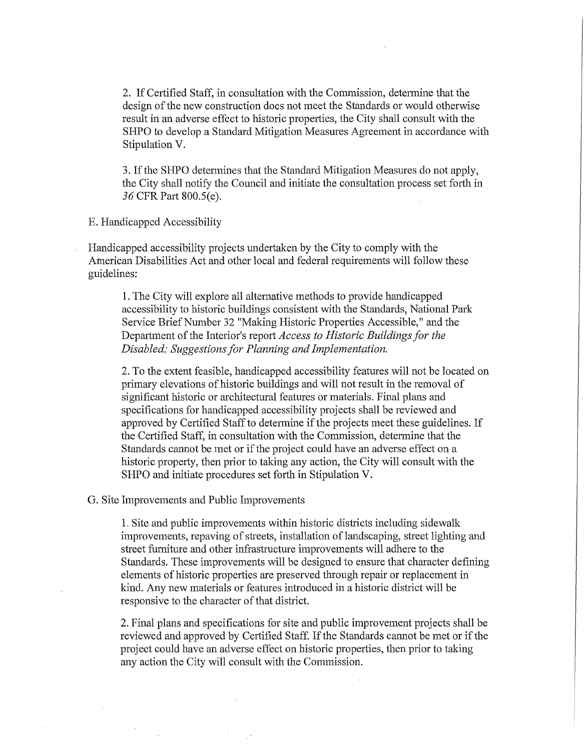2. If Certified Staff, in consultation with the Commission, determine that the design of the new construction does not meet the Standards or would otherwise result **in** an adverse effect to historic properties, the City shall consult with the SHPO to develop a Standard Mitigation Measures Agreement in accordance with Stipulation V.

3. If the SHPO determines that the Standard Mitigation Measures do not apply, the City shall notify the Council and initiate the consultation process set forth in *36* CFR Part 800.S(e).

E. Handicapped Accessibility

Handicapped accessibility projects undertaken by the City to comply with the American Disabilities Act and other local and federal requirements will follow these guidelines:

**1.** The City will explore all alternative methods to provide handicapped accessibility to historic buildings consistent with the Standards, National Park Service Brief Number 32 "Making Historic Properties Accessible," and the Department of the Interior's report *Access to Historic Buildings for the Disabled: Suggestions for Planning and Implementation.* 

2. To the extent feasible, handicapped accessibility features will not be located on primary elevations of historic buildings and will not result in the removal of significant historic or architectural features or materials. Final plans and specifications for handicapped accessibility projects shall be reviewed and approved by Certified Staff to determine if the projects meet these guidelines. If the Certified Staff, in consultation with the Commission, determine that the Standards cannot be met or if the project could have an adverse effect on a historic property, then prior to taking any action, the City will consult with the SHPO and initiate procedures set forth **in** Stipulation V.

G. Site Improvements and Public Improvements

1. Site and public improvements within historic districts including sidewalk improvements, repaving of streets, installation of landscaping, street lighting and street furniture and other infrastructure improvements will adhere to the Standards. These improvements will be designed to ensure that character defining elements of historic properties are preserved through repair or replacement in kind. Any new materials or features introduced in a historic district will be responsive to the character of that district.

2. Final plans and specifications for site and public improvement projects shall be reviewed and approved by Certified Staff. If the Standards cannot be met or if the project could have an adverse effect on historic properties, then prior to taking any action the City will consult with the Commission.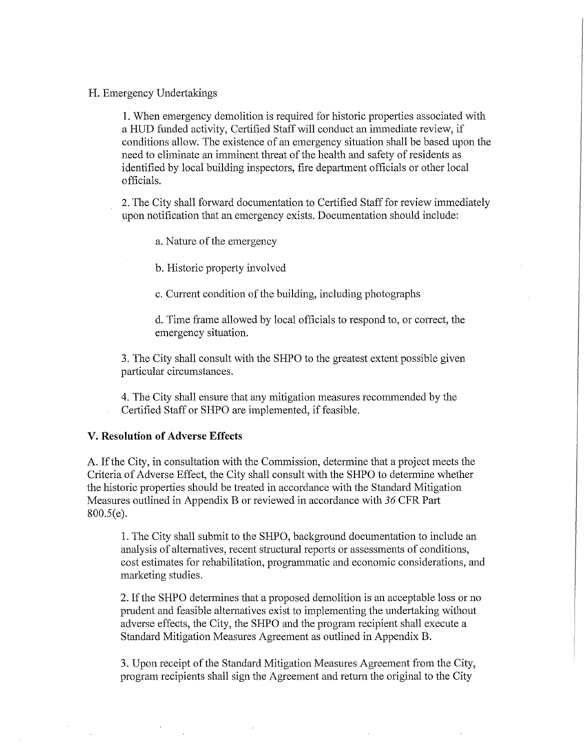# **H.** Emergency Undertakings

1. When emergency demolition is required for historic properties associated with a HUD funded activity, Certified Staff will conduct an immediate review, if conditions allow. The existence of an emergency situation shall be based upon the need to eliminate an inuninent threat of the health and safety of residents as identified by local building inspectors, fire department officials or other local officials.

2. The City shall forward documentation to Certified Staff for review immediately upon notification that an emergency exists. Documentation should include:

a. Nature of the emergency

b. Historic property involved

c. Current condition of the building, including photographs

d. Time frame allowed by local officials to respond to, or correct, the emergency situation.

3. The City shall consult with the SHPO to the greatest extent possible given particular circumstances.

4. The City shall ensure that any mitigation measures reconunended by the Certified Staff or SHPO are implemented, if feasible.

# **V. Resolution of Adverse Effects**

A. If the City, in consultation with the Commission, determine that a project meets the Criteria of Adverse Effect, the City shall consult with the SHPO to detennine whether the historic properties should be treated in accordance with the Standard Mitigation Measures outlined in Appendix B or reviewed in accordance with *36* CFR Part 800.5(e).

1. The City shall submit to the SHPO, background documentation to include an analysis of alternatives, recent structural reports or assessments of conditions, cost estimates for rehabilitation, programmatic and economic considerations, and marketing studies.

2. If the SHPO determines that a proposed demolition is an acceptable loss or no prudent and feasible alternatives exist to implementing the undertaking without adverse effects, the City, the SHPO and the program recipient shall execute a Standard Mitigation Measures Agreement as outlined in Appendix B.

3. Upon receipt of the Standard Mitigation Measures Agreement from the City, program recipients shall sign the Agreement and return the original to the City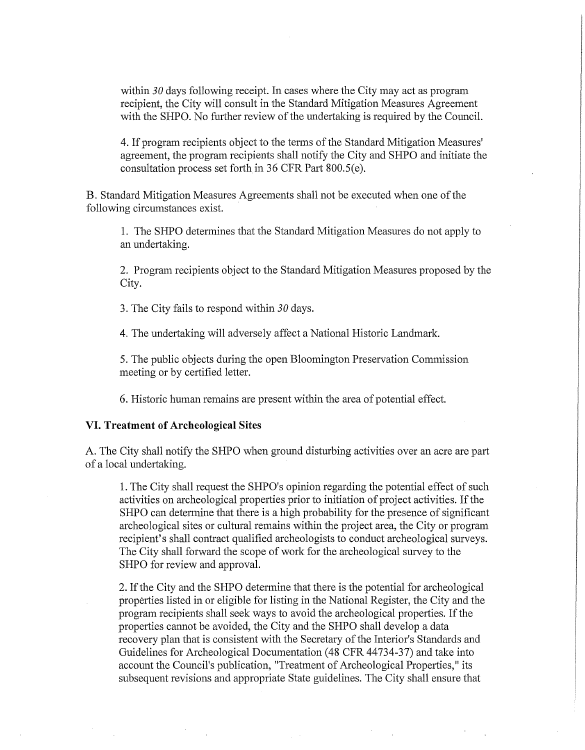within 30 days following receipt. In cases where the City may act as program recipient, the City will consult in the Standard Mitigation Measures Agreement with the SHPO. No further review of the undertaking is required by the Council.

4. If program recipients object to the terms of the Standard Mitigation Measures' agreement, the program recipients shall notify the City and SHPO and initiate the consultation process set forth in 36 CFR Part  $800.5(e)$ .

B. Standard Mitigation Measures Agreements shall not be executed when one of the following circumstances exist.

1. The SHPO determines that the Standard Mitigation Measures do not apply to an undertaking.

2. Program recipients object to the Standard Mitigation Measures proposed by the City.

3. The City fails to respond within *30* days.

4. The undertaking will adversely affect a National Historic Landmark.

5. The public objects during the open Bloomington Preservation Commission meeting or by certified letter.

6. Historic human remains are present within the area of potential effect.

#### **VI. Treatment of Archeological Sites**

A. The City shall notify the SHPO when ground disturbing activities over an acre are part of a local undertaking.

1. The City shall request the SHPO's opinion regarding the potential effect of such activities on archeological properties prior to initiation of project activities. If the SHPO can determine that there is a high probability for the presence of significant archeological sites or cultural remains within the project area, the City or program recipient's shall contract qualified archeologists to conduct archeological surveys. The City shall forward the scope of work for the archeological survey to the SHPO for review and approval.

2. If the City and the SHPO determine that there is the potential for archeological properties listed in or eligible for listing in the National Register, the City and the program recipients shall seek ways to avoid the archeological properties. If the properties cannot be avoided, the City and the SHPO shall develop a data recovery plan that is consistent with the Secretary of the Interior's Standards and Guidelines for Archeological Documentation (48 CFR 44734-37) and take into account the Council's publication, "Treatment of Archeological Properties," its subsequent revisions and appropriate State guidelines. The City shall ensure that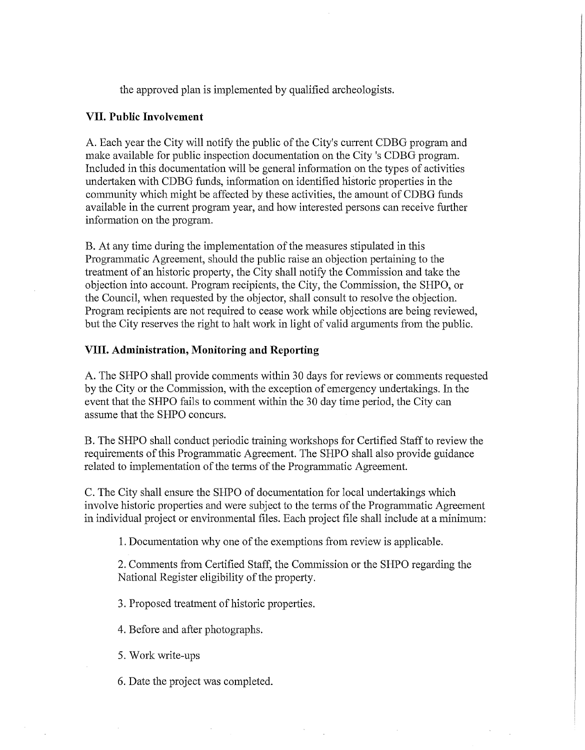the approved plan is implemented by qualified archeologists.

# **VII. Public Involvement**

A. Each year the City will notify the public of the City's current CDBG program and make available for public inspection documentation on the City 's CDBG program. Included in this documentation will be general information on the types of activities undertaken with CDBG funds, information on identified historic properties in the community which might be affected by these activities, the amount of CDBG funds available in the current program year, and how interested persons can receive further information on the program.

B. At any time during the implementation of the measures stipulated in this Programmatic Agreement, should the public raise an objection pertaining to the treatment of an historic property, the City shall notify the Commission and take the objection into account. Program recipients, the City, the Commission, the SHPO, or the Council, when requested by the objector, shall consult to resolve the objection. Program recipients are not required to cease work while objections are being reviewed, but the City reserves the right to halt work in light of valid arguments from the public.

# **VIII. Administration, Monitoring and Reporting**

A. The SHPO shall provide comments within 30 days for reviews or comments requested by the City or the Commission, with the exception of emergency undertakings. In the event that the SHPO fails to comment within the 30 day time period, the City can assume that the SHPO concurs.

B. The SHPO shall conduct periodic training workshops for Certified Staff to review the requirements of this Programmatic Agreement. The SHPO shall also provide guidance related to implementation of the terms of the Programmatic Agreement.

C. The City shall ensure the SHPO of documentation for local undertakings which involve historic properties and were subject to the terms of the Programmatic Agreement in individual project or enviromnental files. Each project file shall include at a minimum:

**1.** Documentation why one of the exemptions from review is applicable.

2. Comments from Certified Staff, the Commission or the SHPO regarding the National Register eligibility of the property.

3. Proposed treatment of historic properties.

4. Before and after photographs.

5. Work write-ups

6. Date the project was completed.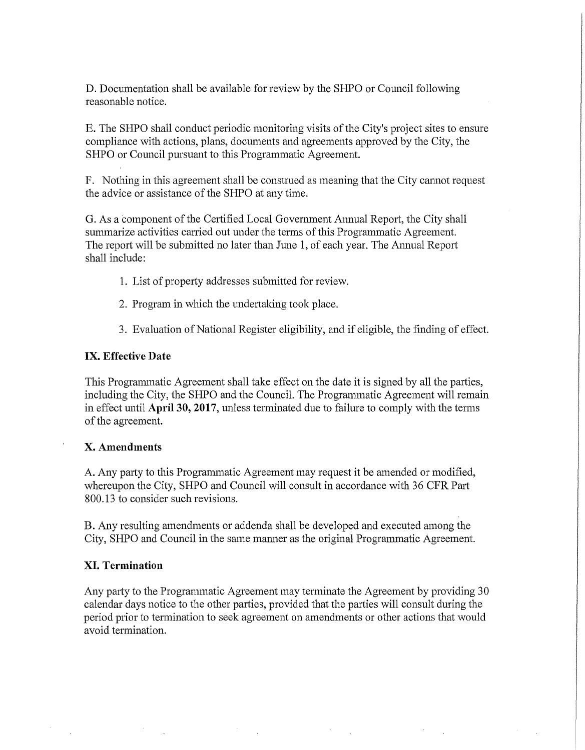D. Documentation shall be available for review by the SHPO or Council following reasonable notice.

E. The SHPO shall conduct periodic monitoring visits of the City's project sites to ensure compliance with actions, plans, documents and agreements approved by the City, the SHPO or Council pursuant to this Programmatic Agreement.

F. Nothing in this agreement shall be construed as meaning that the City cannot request the advice or assistance of the SHPO at any time.

G. As a component of the Certified Local Government Amrnal Report, the City shall summarize activities carried out under the terms of this Programmatic Agreement. The report will be submitted no later than June 1, of each year. The Annual Report shall include:

- 1. List of property addresses submitted for review.
- 2. Program in which the undertaking took place.
- 3. Evaluation of National Register eligibility, and if eligible, the finding of effect.

## **IX. Effective Date**

This Programmatic Agreement shall take effect on the date it is signed by all the parties, including the City, the SHPO and the Council. The Programmatic Agreement will remain in effect until **April 30, 2017,** unless tenninated due to failure to comply with the terms of the agreement.

## **X. Amendments**

A. Any party to this Programmatic Agreement may request it be amended or modified, whereupon the City, SHPO and Council will consult in accordance with 36 CFR Part 800.13 to consider such revisions.

B. Any resulting amendments or addenda shall be developed and executed among the City, SHPO and Council in the same manner as the original Programmatic Agreement.

## **XI. Termination**

Any party to the Programmatic Agreement may terminate the Agreement by providing 30 calendar days notice to the other parties, provided that the parties will consult during the period prior to tennination to seek agreement on amendments or other actions that would avoid termination.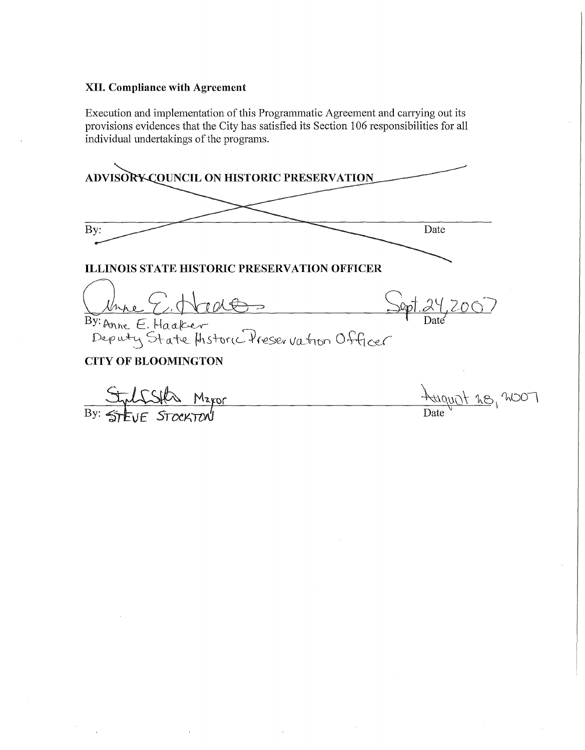# **XII. Compliance with Agreement**

Execution and implementation of this Programmatic Agreement and carrying out its provisions evidences that the City has satisfied its Section 106 responsibilities for all individual undertakings of the programs.

**ADVISORY COUNCIL ON HISTORIC PRESERVATION**  $Bv$ : Date **ILLINOIS STATE HISTORIC PRESERVATION OFFICER** Quine E. Nade - Sept. 24, 2007  $B\overline{y}:$  Anne  $E$ . Haaker Deputy State Historic Preser vation Officer **CITY OF BLOOMINGTON** Maror <u>It 28, 2007</u> **JF STOCKTON** By: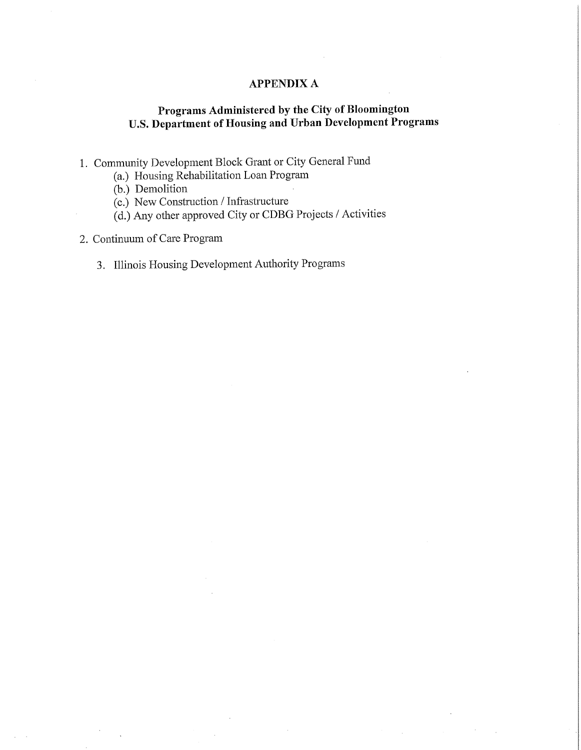# **APPENDIX A**

# **Programs Administered by the City of Bloomington U.S. Department of Housing and Urban Development Programs**

- 1. Community Development Block Grant or City General Fund
	- (a.) Housing Rehabilitation Loan Program
	- (b.) Demolition
	- (c.) New Construction/ Infrastructure
	- (d.) Any other approved City or CDBG Projects/ Activities
- 2. Continuum of Care Program
	- 3. Illinois Housing Development Authority Programs